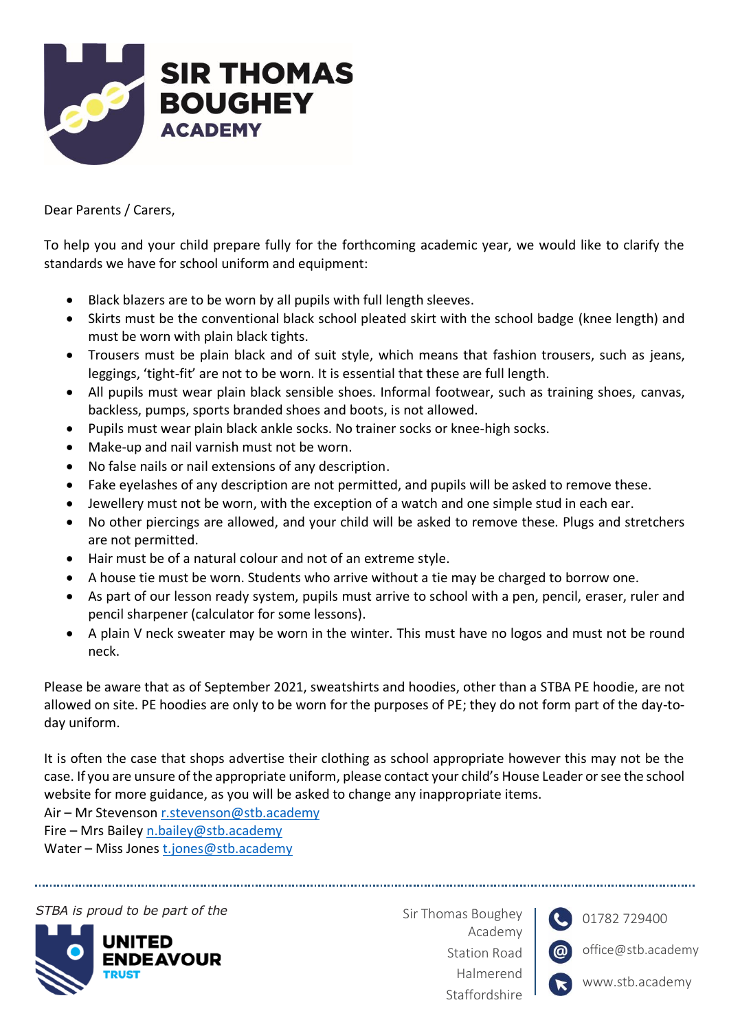

Dear Parents / Carers,

To help you and your child prepare fully for the forthcoming academic year, we would like to clarify the standards we have for school uniform and equipment:

- Black blazers are to be worn by all pupils with full length sleeves.
- Skirts must be the conventional black school pleated skirt with the school badge (knee length) and must be worn with plain black tights.
- Trousers must be plain black and of suit style, which means that fashion trousers, such as jeans, leggings, 'tight-fit' are not to be worn. It is essential that these are full length.
- All pupils must wear plain black sensible shoes. Informal footwear, such as training shoes, canvas, backless, pumps, sports branded shoes and boots, is not allowed.
- Pupils must wear plain black ankle socks. No trainer socks or knee-high socks.
- Make-up and nail varnish must not be worn.
- No false nails or nail extensions of any description.
- Fake eyelashes of any description are not permitted, and pupils will be asked to remove these.
- Jewellery must not be worn, with the exception of a watch and one simple stud in each ear.
- No other piercings are allowed, and your child will be asked to remove these. Plugs and stretchers are not permitted.
- Hair must be of a natural colour and not of an extreme style.
- A house tie must be worn. Students who arrive without a tie may be charged to borrow one.
- As part of our lesson ready system, pupils must arrive to school with a pen, pencil, eraser, ruler and pencil sharpener (calculator for some lessons).
- A plain V neck sweater may be worn in the winter. This must have no logos and must not be round neck.

Please be aware that as of September 2021, sweatshirts and hoodies, other than a STBA PE hoodie, are not allowed on site. PE hoodies are only to be worn for the purposes of PE; they do not form part of the day-today uniform.

It is often the case that shops advertise their clothing as school appropriate however this may not be the case. If you are unsure of the appropriate uniform, please contact your child's House Leader or see the school website for more guidance, as you will be asked to change any inappropriate items.

Air – Mr Stevenson [r.stevenson@stb.academy](mailto:r.stevenson@stb.academy)

Fire – Mrs Bailey [n.bailey@stb.academy](mailto:n.bailey@stb.academy)

Water – Miss Jones [t.jones@stb.academy](mailto:t.jones@stb.academy)

**STBA is proud to be part of the** Sir Thomas Boughey



Academy Station Road Halmerend Staffordshire



01782 729400

office@stb.academy

www.stb.academy